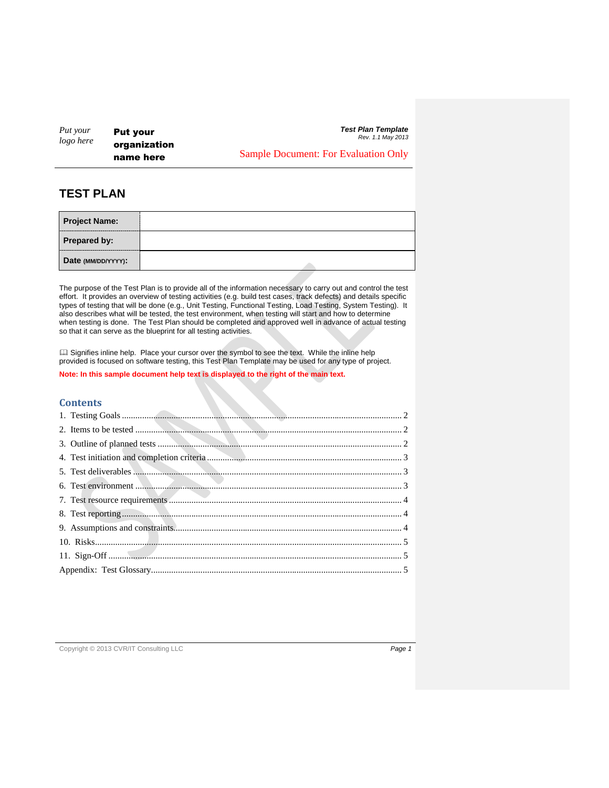*Put your logo here*

Put your organization name here

*Test Plan Template Rev. 1.1 May 2013*

Sample Document: For Evaluation Only

# **TEST PLAN**

| <b>Project Name:</b> |  |
|----------------------|--|
| <b>Prepared by:</b>  |  |
| Date (MM/DD/YYYY):   |  |

The purpose of the Test Plan is to provide all of the information necessary to carry out and control the test effort. It provides an overview of testing activities (e.g. build test cases, track defects) and details specific types of testing that will be done (e.g., Unit Testing, Functional Testing, Load Testing, System Testing). It also describes what will be tested, the test environment, when testing will start and how to determine when testing is done. The Test Plan should be completed and approved well in advance of actual testing so that it can serve as the blueprint for all testing activities.

 Signifies inline help. Place your cursor over the symbol to see the text. While the inline help provided is focused on software testing, this Test Plan Template may be used for any type of project.

# **Note: In this sample document help text is displayed to the right of the main text.**

### **Contents**

#### Copyright © 2013 CVR/IT Consulting LLC *Page 1*